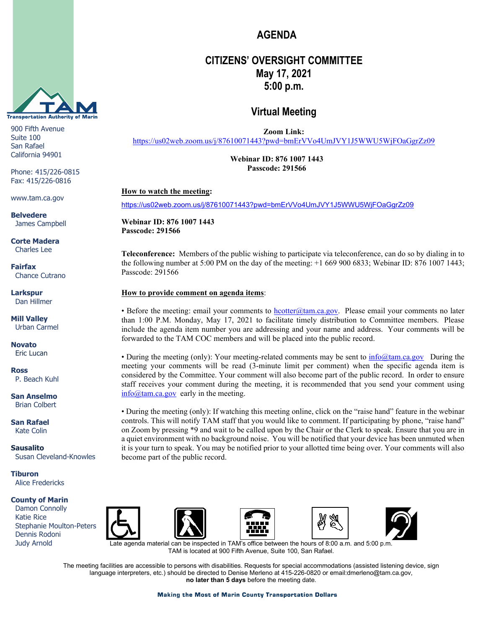

900 Fifth Avenue Suite 100 San Rafael California 94901

Phone: 415/226-0815 Fax: 415/226-0816

www.tam.ca.gov

**Belvedere** James Campbell

**Corte Madera** Charles Lee

**Fairfax** Chance Cutrano

**Larkspur** Dan Hillmer

**Mill Valley** Urban Carmel

**Novato** Eric Lucan

**Ross** P. Beach Kuhl

**San Anselmo** Brian Colbert

**San Rafael** Kate Colin

**Sausalito** Susan Cleveland-Knowles

**Tiburon** Alice Fredericks

#### **County of Marin**

 Damon Connolly Katie Rice Stephanie Moulton-Peters Dennis Rodoni Judy Arnold











ate agenda material can be inspected in TAM's office between the hours of  $8:00$  a.m. and  $5:00$  p.m. TAM is located at 900 Fifth Avenue, Suite 100, San Rafael.

The meeting facilities are accessible to persons with disabilities. Requests for special accommodations (assisted listening device, sign language interpreters, etc.) should be directed to Denise Merleno at 415-226-0820 or email:dmerleno@tam.ca.gov, **no later than 5 days** before the meeting date.

# **AGENDA**

## **CITIZENS' OVERSIGHT COMMITTEE May 17, 2021 5:00 p.m.**

### **Virtual Meeting**

**Zoom Link:** 

https://us02web.zoom.us/i/87610071443?pwd=bmErVVo4UmJVY1J5WWU5WiFOaGgrZz09

**Webinar ID: 876 1007 1443 Passcode: 291566**

#### **How to watch the meeting:**

<https://us02web.zoom.us/j/87610071443?pwd=bmErVVo4UmJVY1J5WWU5WjFOaGgrZz09>

**Webinar ID: 876 1007 1443 Passcode: 291566**

**Teleconference:** Members of the public wishing to participate via teleconference, can do so by dialing in to the following number at 5:00 PM on the day of the meeting: +1 669 900 6833; Webinar ID: 876 1007 1443; Passcode: 291566

#### **How to provide comment on agenda items**:

• Before the meeting: email your comments to **hcotter@tam.ca.gov**. Please email your comments no later than 1:00 P.M. Monday, May 17, 2021 to facilitate timely distribution to Committee members. Please include the agenda item number you are addressing and your name and address. Your comments will be forwarded to the TAM COC members and will be placed into the public record.

• During the meeting (only): Your meeting-related comments may be sent to  $\inf_{\Omega}(a_{\text{tan},ca,gov})$  During the meeting your comments will be read (3-minute limit per comment) when the specific agenda item is considered by the Committee. Your comment will also become part of the public record. In order to ensure staff receives your comment during the meeting, it is recommended that you send your comment using [info@tam.ca.gov](mailto:info@tam.ca.gov) early in the meeting.

• During the meeting (only): If watching this meeting online, click on the "raise hand" feature in the webinar controls. This will notify TAM staff that you would like to comment. If participating by phone, "raise hand" on Zoom by pressing \*9 and wait to be called upon by the Chair or the Clerk to speak. Ensure that you are in a quiet environment with no background noise. You will be notified that your device has been unmuted when it is your turn to speak. You may be notified prior to your allotted time being over. Your comments will also become part of the public record.